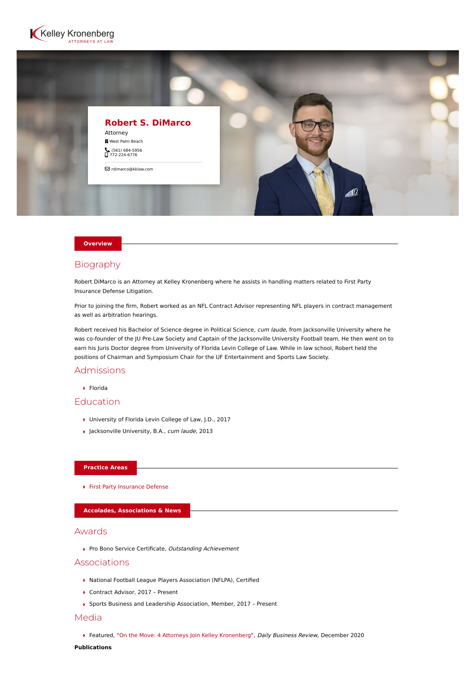



#### **Overview**

# Biography

Robert DiMarco is an Attorney at Kelley Kronenberg where he assists in handling matters related to First Party Insurance Defense Litigation.

Prior to joining the firm, Robert worked as an NFL Contract Advisor representing NFL players in contract management as well as arbitration hearings.

Robert received his Bachelor of Science degree in Political Science, cum laude, from Jacksonville University where he was co-founder of the JU Pre-Law Society and Captain of the Jacksonville University Football team. He then went on to earn his Juris Doctor degree from University of Florida Levin College of Law. While in law school, Robert held the positions of Chairman and Symposium Chair for the UF Entertainment and Sports Law Society.

## Admissions

Florida

# Education

- ▶ University of Florida Levin College of Law, J.D., 2017
- ▶ Jacksonville University, B.A., cum laude, 2013

#### **Practice Areas**

[First Party Insurance Defense](https://www.kelleykronenberg.com/our-practices/first-party-insurance-defense-coverage-bad-faith/)

**Accolades, Associations & News**

### Awards

Pro Bono Service Certificate, Outstanding Achievement

### Associations

- National Football League Players Association (NFLPA), Certified
- ▶ Contract Advisor, 2017 Present
- Sports Business and Leadership Association, Member, 2017 Present

## Media

Featured, ["On the Move: 4 Attorneys Join Kelley Kronenberg](https://www.law.com/dailybusinessreview/2020/12/29/on-the-move-4-attorneys-join-kelley-kronenberg/)", Daily Business Review, December 2020

#### **Publications**